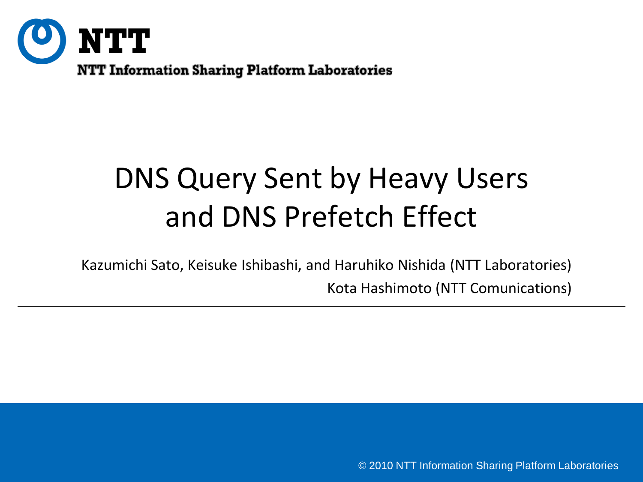

## DNS Query Sent by Heavy Users and DNS Prefetch Effect

Kazumichi Sato, Keisuke Ishibashi, and Haruhiko Nishida (NTT Laboratories) Kota Hashimoto (NTT Comunications)

© 2010 NTT Information Sharing Platform Laboratories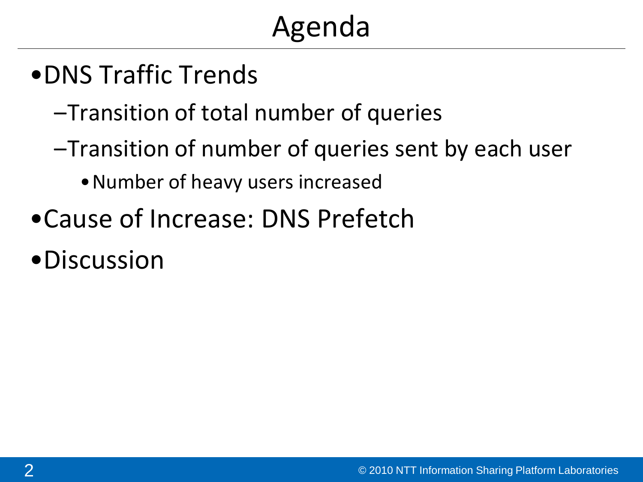# Agenda

- •DNS Traffic Trends
	- –Transition of total number of queries
	- –Transition of number of queries sent by each user
		- •Number of heavy users increased
- •Cause of Increase: DNS Prefetch
- •Discussion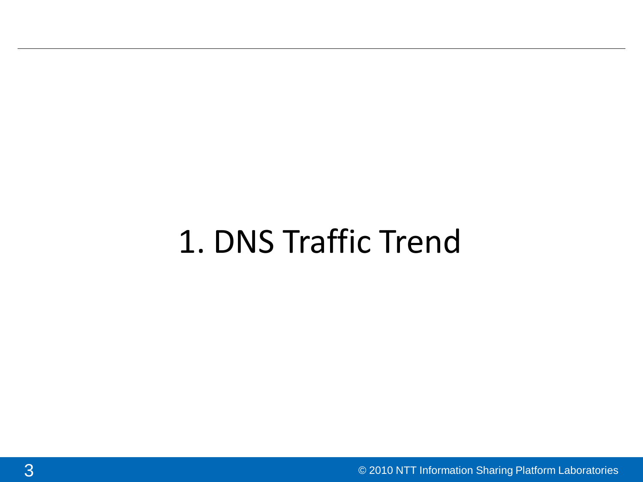# 1. DNS Traffic Trend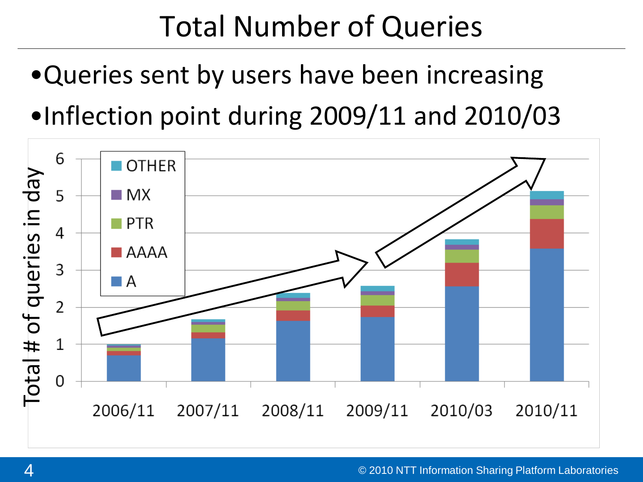### Total Number of Queries

- •Queries sent by users have been increasing
- •Inflection point during 2009/11 and 2010/03

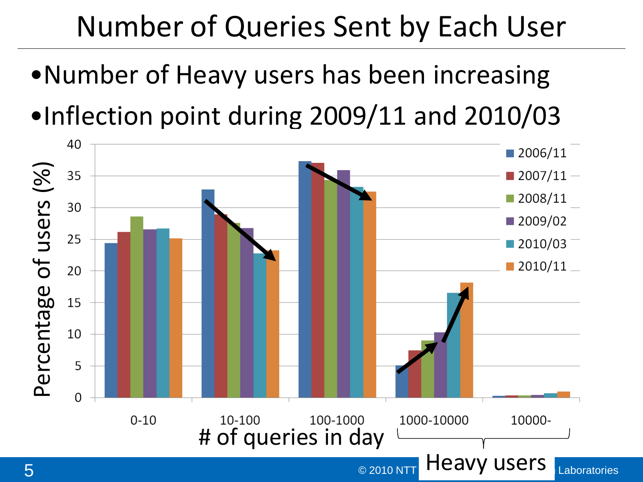# Number of Queries Sent by Each User

- •Number of Heavy users has been increasing
- •Inflection point during 2009/11 and 2010/03

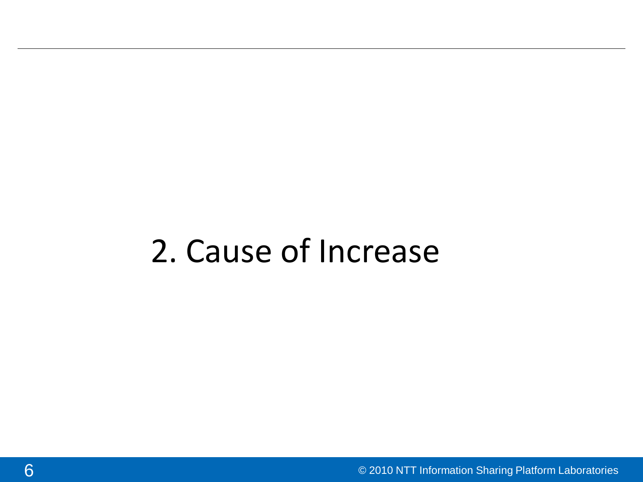#### 2. Cause of Increase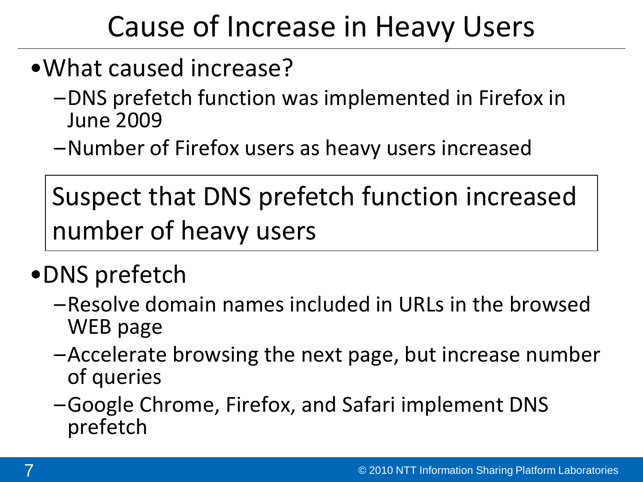# Cause of Increase in Heavy Users

- •What caused increase?
	- –DNS prefetch function was implemented in Firefox in June 2009
	- –Number of Firefox users as heavy users increased

Suspect that DNS prefetch function increased number of heavy users

#### •DNS prefetch

- –Resolve domain names included in URLs in the browsed WEB page
- –Accelerate browsing the next page, but increase number of queries
- –Google Chrome, Firefox, and Safari implement DNS prefetch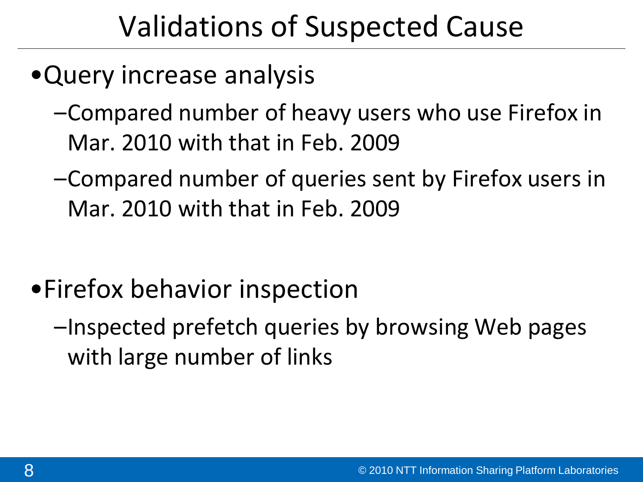## Validations of Suspected Cause

- •Query increase analysis
	- –Compared number of heavy users who use Firefox in Mar. 2010 with that in Feb. 2009
	- –Compared number of queries sent by Firefox users in Mar. 2010 with that in Feb. 2009

- •Firefox behavior inspection
	- –Inspected prefetch queries by browsing Web pages with large number of links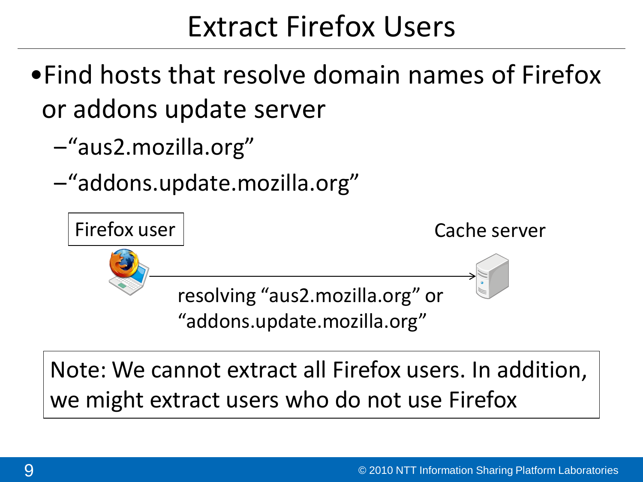#### Extract Firefox Users

- •Find hosts that resolve domain names of Firefox or addons update server
	- –"aus2.mozilla.org"
	- –"addons.update.mozilla.org"



Note: We cannot extract all Firefox users. In addition, we might extract users who do not use Firefox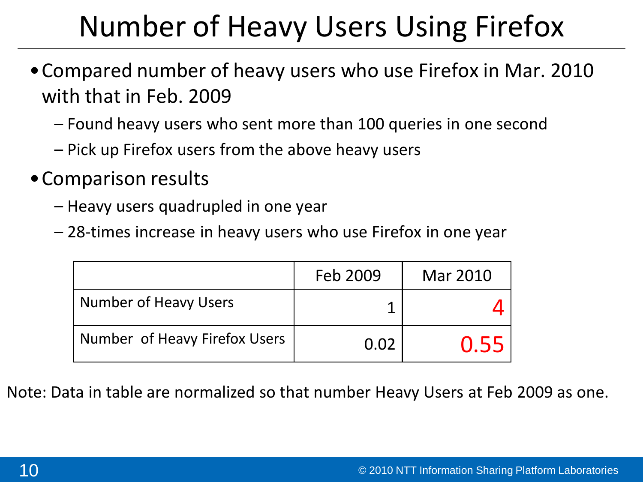# Number of Heavy Users Using Firefox

- •Compared number of heavy users who use Firefox in Mar. 2010 with that in Feb. 2009
	- Found heavy users who sent more than 100 queries in one second
	- Pick up Firefox users from the above heavy users
- •Comparison results
	- Heavy users quadrupled in one year
	- 28-times increase in heavy users who use Firefox in one year

|                               | Feb 2009 | Mar 2010 |
|-------------------------------|----------|----------|
| Number of Heavy Users         |          |          |
| Number of Heavy Firefox Users | 0.02     | 0.55     |

Note: Data in table are normalized so that number Heavy Users at Feb 2009 as one.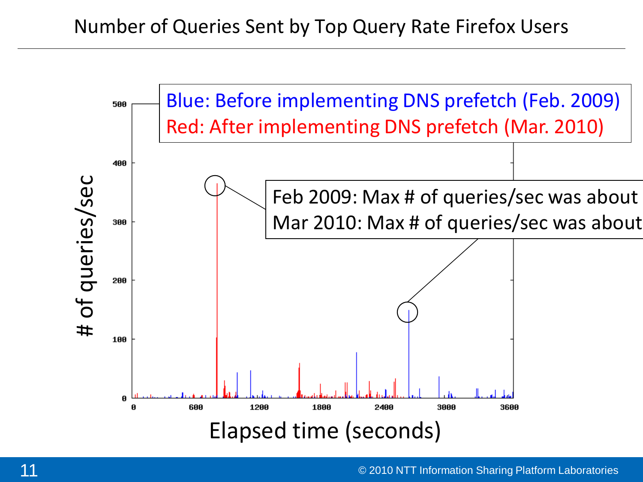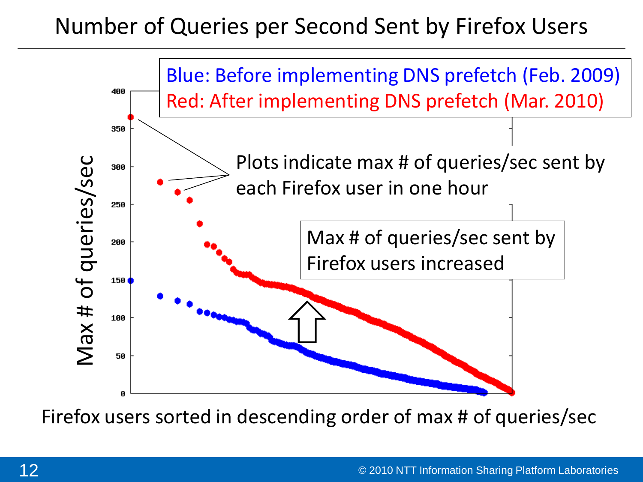#### Number of Queries per Second Sent by Firefox Users



Firefox users sorted in descending order of max # of queries/sec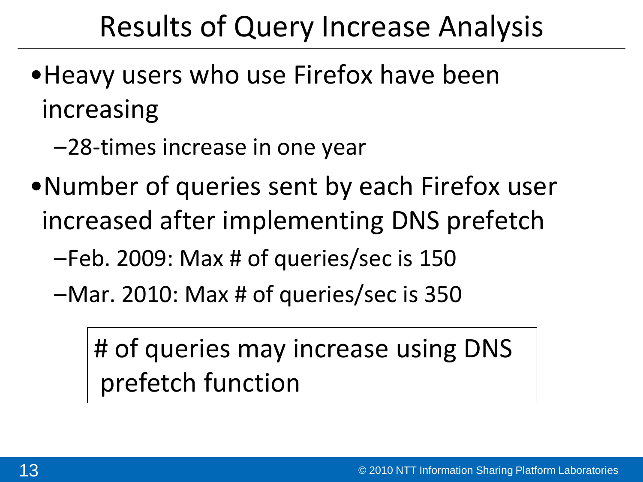### Results of Query Increase Analysis

- •Heavy users who use Firefox have been increasing
	- –28-times increase in one year
- •Number of queries sent by each Firefox user increased after implementing DNS prefetch
	- –Feb. 2009: Max # of queries/sec is 150
	- –Mar. 2010: Max # of queries/sec is 350

# of queries may increase using DNS prefetch function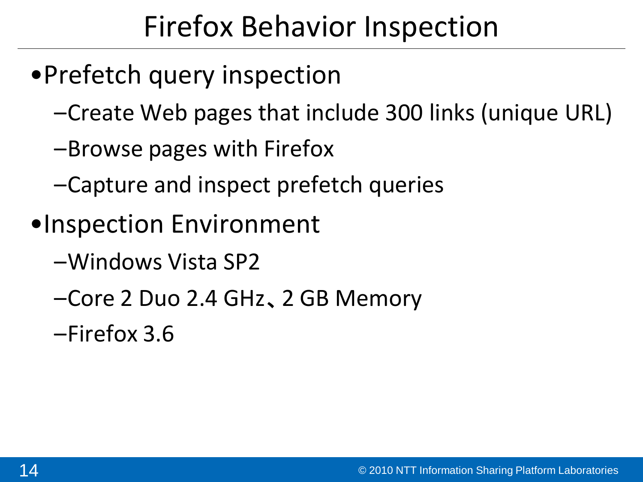# Firefox Behavior Inspection

- •Prefetch query inspection
	- –Create Web pages that include 300 links (unique URL)
	- –Browse pages with Firefox
	- –Capture and inspect prefetch queries
- •Inspection Environment
	- –Windows Vista SP2
	- –Core 2 Duo 2.4 GHz、2 GB Memory
	- –Firefox 3.6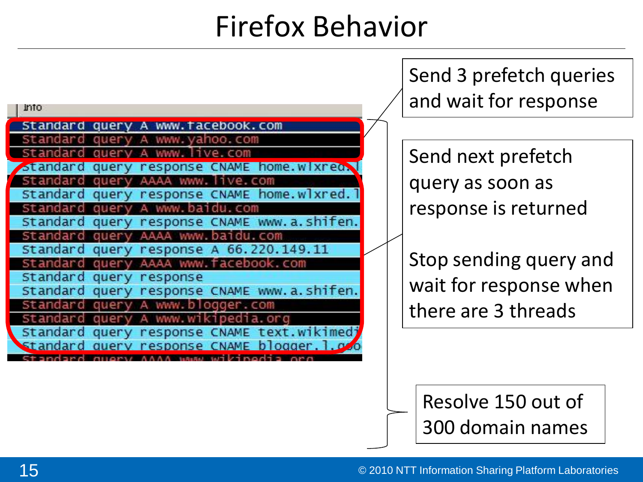#### Firefox Behavior

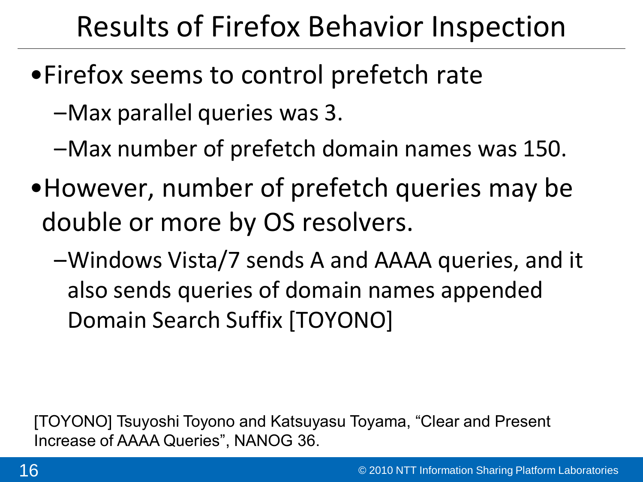# Results of Firefox Behavior Inspection

- •Firefox seems to control prefetch rate
	- –Max parallel queries was 3.
	- –Max number of prefetch domain names was 150.
- •However, number of prefetch queries may be double or more by OS resolvers.
	- –Windows Vista/7 sends A and AAAA queries, and it also sends queries of domain names appended Domain Search Suffix [TOYONO]

[TOYONO] Tsuyoshi Toyono and Katsuyasu Toyama, "Clear and Present Increase of AAAA Queries", NANOG 36.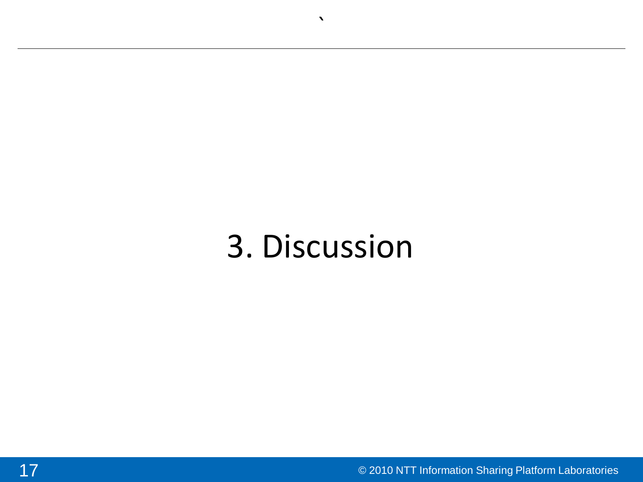# 3. Discussion

 $\blacktriangledown$